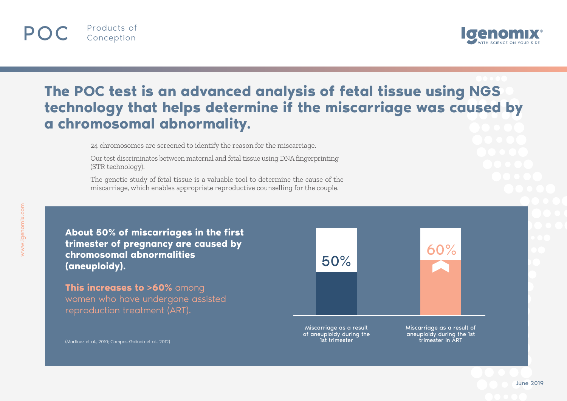



## **The POC test is an advanced analysis of fetal tissue using NGS technology that helps determine if the miscarriage was caused by a chromosomal abnormality.**

24 chromosomes are screened to identify the reason for the miscarriage.

Our test discriminates between maternal and fetal tissue using DNA fingerprinting (STR technology).

The genetic study of fetal tissue is a valuable tool to determine the cause of the miscarriage, which enables appropriate reproductive counselling for the couple.

**About 50% of miscarriages in the first trimester of pregnancy are caused by chromosomal abnormalities**  reflective contract and contract the second contract of the second contract of the second contract of the second <br> **SO%** (aneuploidy).

**This increases to >60%** among women who have undergone assisted reproduction treatment (ART).



(Martinez et al., 2010; Campos-Galindo et al., 2012)

1st trimester

trimester in ART

June 2019